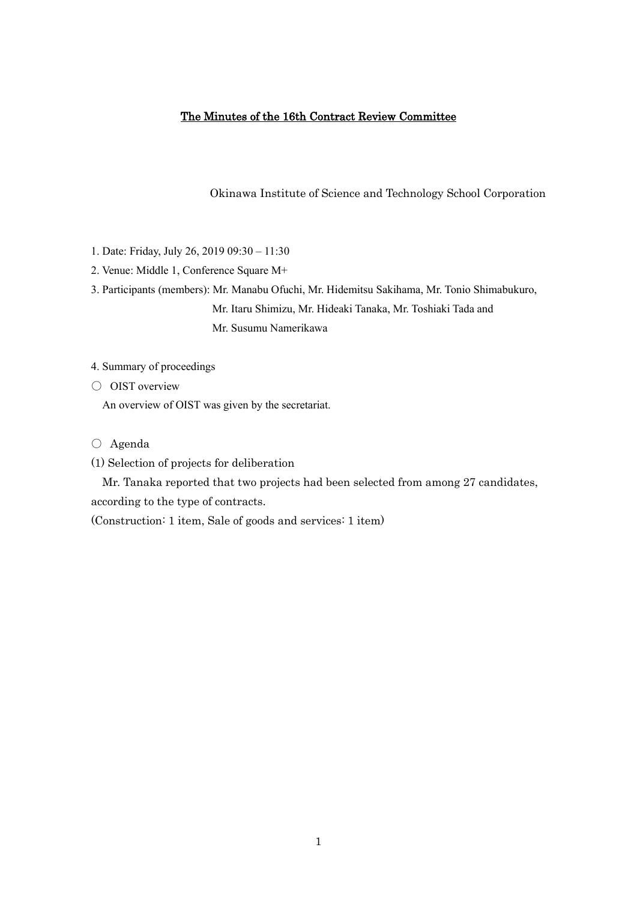# The Minutes of the 16th Contract Review Committee

Okinawa Institute of Science and Technology School Corporation

- 1. Date: Friday, July 26, 2019 09:30 11:30
- 2. Venue: Middle 1, Conference Square M+

3. Participants (members): Mr. Manabu Ofuchi, Mr. Hidemitsu Sakihama, Mr. Tonio Shimabukuro, Mr. Itaru Shimizu, Mr. Hideaki Tanaka, Mr. Toshiaki Tada and Mr. Susumu Namerikawa

- 4. Summary of proceedings
- OIST overview

An overview of OIST was given by the secretariat.

- Agenda
- (1) Selection of projects for deliberation

Mr. Tanaka reported that two projects had been selected from among 27 candidates, according to the type of contracts.

(Construction: 1 item, Sale of goods and services: 1 item)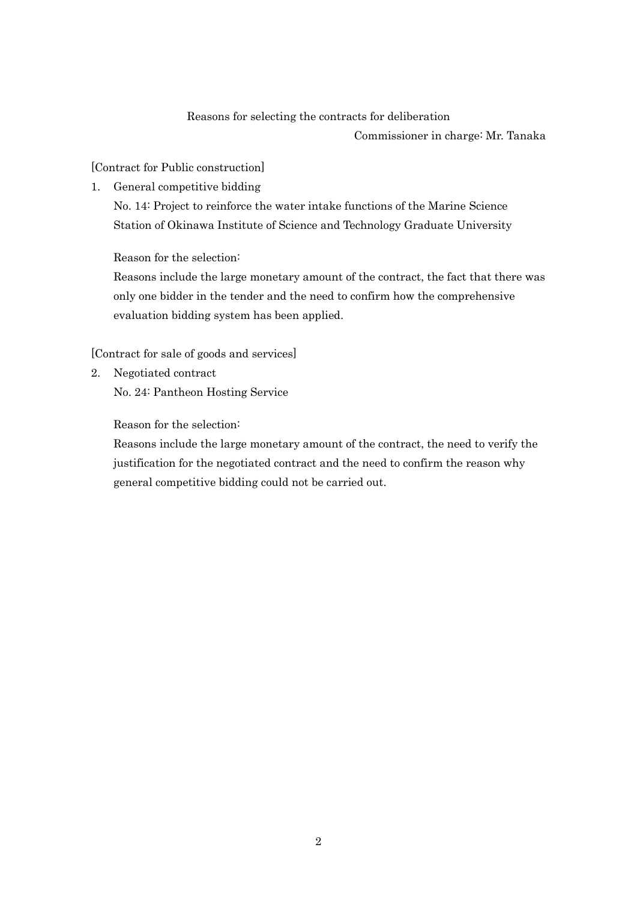## Reasons for selecting the contracts for deliberation

Commissioner in charge: Mr. Tanaka

[Contract for Public construction]

1. General competitive bidding

No. 14: Project to reinforce the water intake functions of the Marine Science Station of Okinawa Institute of Science and Technology Graduate University

Reason for the selection:

Reasons include the large monetary amount of the contract, the fact that there was only one bidder in the tender and the need to confirm how the comprehensive evaluation bidding system has been applied.

[Contract for sale of goods and services]

2. Negotiated contract No. 24: Pantheon Hosting Service

Reason for the selection:

Reasons include the large monetary amount of the contract, the need to verify the justification for the negotiated contract and the need to confirm the reason why general competitive bidding could not be carried out.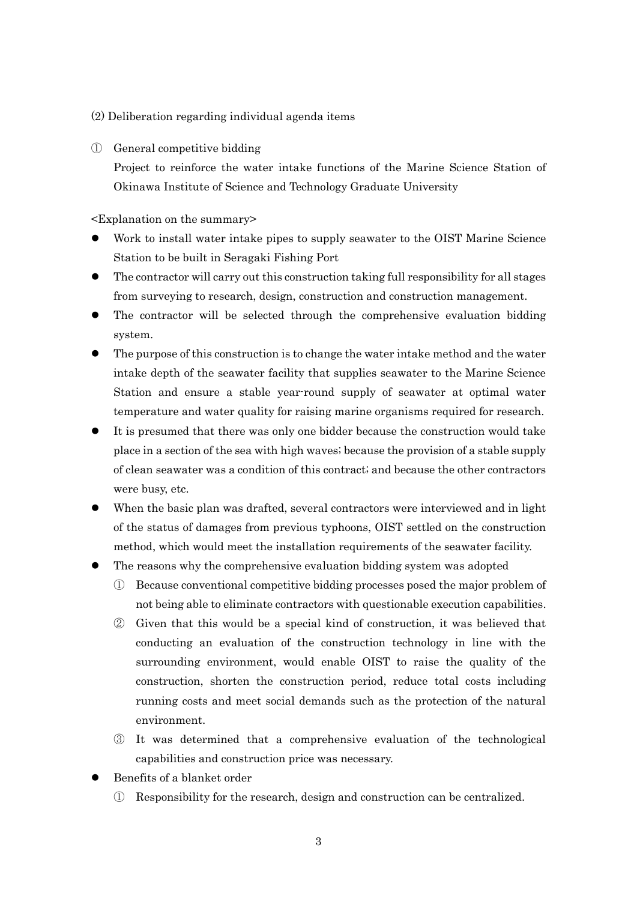#### (2) Deliberation regarding individual agenda items

### ① General competitive bidding

Project to reinforce the water intake functions of the Marine Science Station of Okinawa Institute of Science and Technology Graduate University

- ⚫ Work to install water intake pipes to supply seawater to the OIST Marine Science Station to be built in Seragaki Fishing Port
- ⚫ The contractor will carry out this construction taking full responsibility for all stages from surveying to research, design, construction and construction management.
- ⚫ The contractor will be selected through the comprehensive evaluation bidding system.
- ⚫ The purpose of this construction is to change the water intake method and the water intake depth of the seawater facility that supplies seawater to the Marine Science Station and ensure a stable year-round supply of seawater at optimal water temperature and water quality for raising marine organisms required for research.
- ⚫ It is presumed that there was only one bidder because the construction would take place in a section of the sea with high waves; because the provision of a stable supply of clean seawater was a condition of this contract; and because the other contractors were busy, etc.
- When the basic plan was drafted, several contractors were interviewed and in light of the status of damages from previous typhoons, OIST settled on the construction method, which would meet the installation requirements of the seawater facility.
- ⚫ The reasons why the comprehensive evaluation bidding system was adopted
	- ① Because conventional competitive bidding processes posed the major problem of not being able to eliminate contractors with questionable execution capabilities.
	- ② Given that this would be a special kind of construction, it was believed that conducting an evaluation of the construction technology in line with the surrounding environment, would enable OIST to raise the quality of the construction, shorten the construction period, reduce total costs including running costs and meet social demands such as the protection of the natural environment.
	- ③ It was determined that a comprehensive evaluation of the technological capabilities and construction price was necessary.
- ⚫ Benefits of a blanket order
	- ① Responsibility for the research, design and construction can be centralized.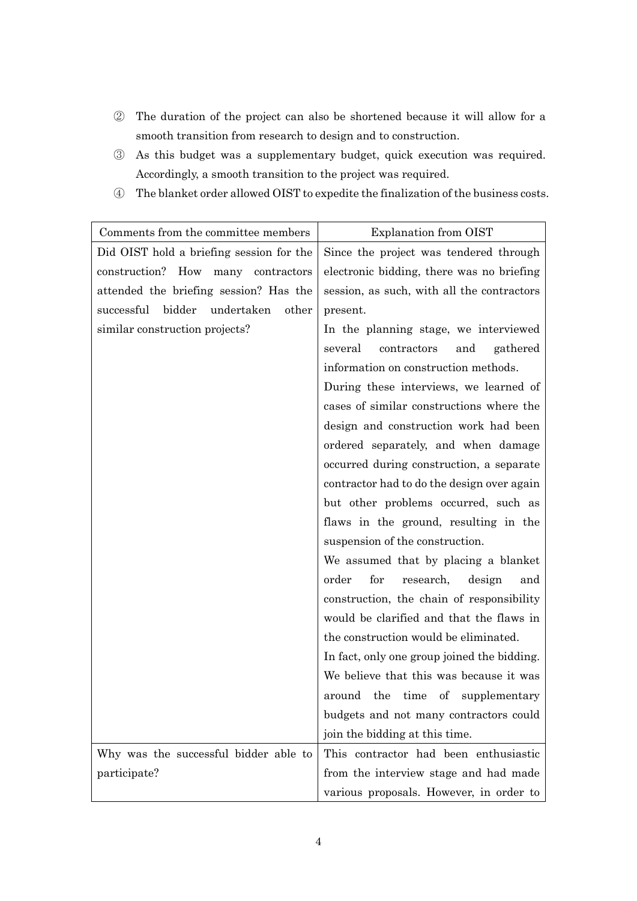- ② The duration of the project can also be shortened because it will allow for a smooth transition from research to design and to construction.
- ③ As this budget was a supplementary budget, quick execution was required. Accordingly, a smooth transition to the project was required.
- ④ The blanket order allowed OIST to expedite the finalization of the business costs.

| Comments from the committee members         | <b>Explanation from OIST</b>                |
|---------------------------------------------|---------------------------------------------|
| Did OIST hold a briefing session for the    | Since the project was tendered through      |
| construction? How many contractors          | electronic bidding, there was no briefing   |
| attended the briefing session? Has the      | session, as such, with all the contractors  |
| bidder<br>undertaken<br>successful<br>other | present.                                    |
| similar construction projects?              | In the planning stage, we interviewed       |
|                                             | several<br>contractors<br>and<br>gathered   |
|                                             | information on construction methods.        |
|                                             | During these interviews, we learned of      |
|                                             | cases of similar constructions where the    |
|                                             | design and construction work had been       |
|                                             | ordered separately, and when damage         |
|                                             | occurred during construction, a separate    |
|                                             | contractor had to do the design over again  |
|                                             | but other problems occurred, such as        |
|                                             | flaws in the ground, resulting in the       |
|                                             | suspension of the construction.             |
|                                             | We assumed that by placing a blanket        |
|                                             | order<br>for<br>research,<br>design<br>and  |
|                                             | construction, the chain of responsibility   |
|                                             | would be clarified and that the flaws in    |
|                                             | the construction would be eliminated.       |
|                                             | In fact, only one group joined the bidding. |
|                                             | We believe that this was because it was     |
|                                             | around the time of supplementary            |
|                                             | budgets and not many contractors could      |
|                                             | join the bidding at this time.              |
| Why was the successful bidder able to       | This contractor had been enthusiastic       |
| participate?                                | from the interview stage and had made       |
|                                             | various proposals. However, in order to     |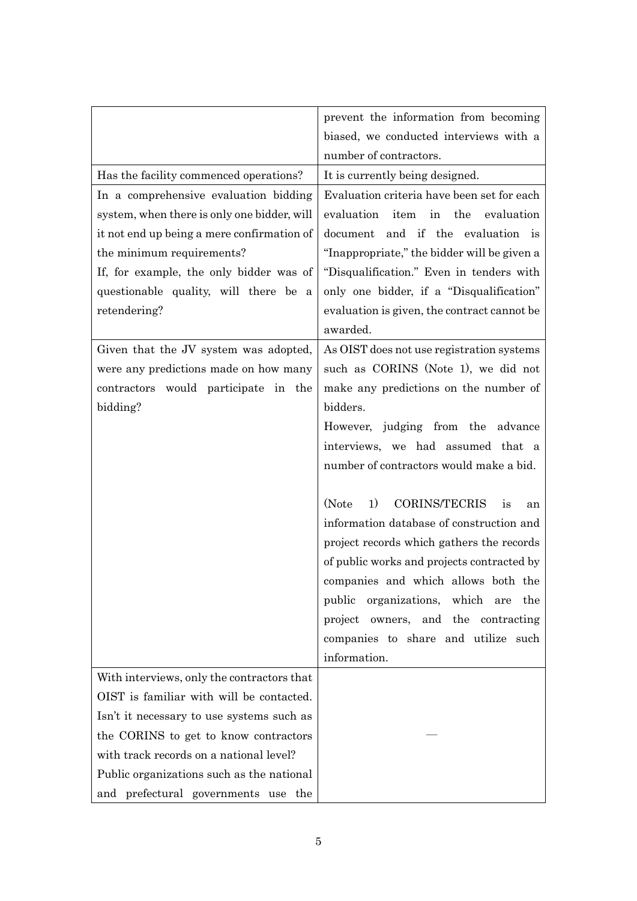|                                             | prevent the information from becoming           |
|---------------------------------------------|-------------------------------------------------|
|                                             | biased, we conducted interviews with a          |
|                                             | number of contractors.                          |
| Has the facility commenced operations?      | It is currently being designed.                 |
| In a comprehensive evaluation bidding       | Evaluation criteria have been set for each      |
| system, when there is only one bidder, will | evaluation item<br>in the<br>evaluation         |
| it not end up being a mere confirmation of  | document and if the evaluation is               |
| the minimum requirements?                   | "Inappropriate," the bidder will be given a     |
| If, for example, the only bidder was of     | "Disqualification." Even in tenders with        |
| questionable quality, will there be a       | only one bidder, if a "Disqualification"        |
| retendering?                                | evaluation is given, the contract cannot be     |
|                                             | awarded.                                        |
| Given that the JV system was adopted,       | As OIST does not use registration systems       |
| were any predictions made on how many       | such as CORINS (Note 1), we did not             |
| contractors would participate in the        | make any predictions on the number of           |
| bidding?                                    | bidders.                                        |
|                                             | However, judging from the advance               |
|                                             | interviews, we had assumed that a               |
|                                             | number of contractors would make a bid.         |
|                                             |                                                 |
|                                             | <b>CORINS/TECRIS</b><br>(Note<br>1)<br>is<br>an |
|                                             | information database of construction and        |
|                                             | project records which gathers the records       |
|                                             | of public works and projects contracted by      |
|                                             | companies and which allows both the             |
|                                             | public organizations, which are<br>the          |
|                                             | project owners, and the contracting             |
|                                             | companies to share and utilize such             |
|                                             | information.                                    |
| With interviews, only the contractors that  |                                                 |
| OIST is familiar with will be contacted.    |                                                 |
| Isn't it necessary to use systems such as   |                                                 |
| the CORINS to get to know contractors       |                                                 |
| with track records on a national level?     |                                                 |
| Public organizations such as the national   |                                                 |
| and prefectural governments use the         |                                                 |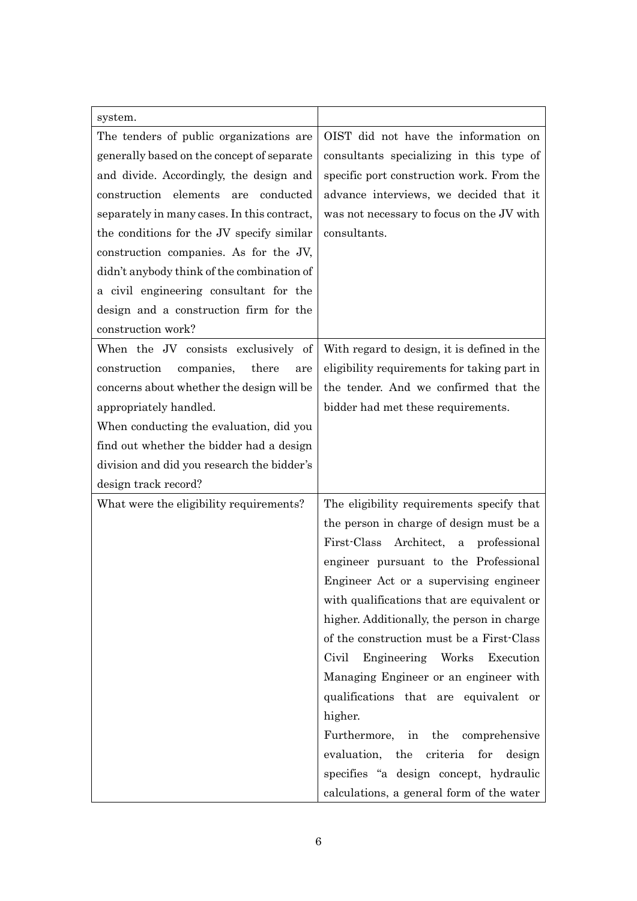| system.                                     |                                                    |
|---------------------------------------------|----------------------------------------------------|
| The tenders of public organizations are     | OIST did not have the information on               |
| generally based on the concept of separate  | consultants specializing in this type of           |
| and divide. Accordingly, the design and     | specific port construction work. From the          |
| construction elements are<br>conducted      | advance interviews, we decided that it             |
| separately in many cases. In this contract, | was not necessary to focus on the JV with          |
| the conditions for the JV specify similar   | consultants.                                       |
| construction companies. As for the JV,      |                                                    |
| didn't anybody think of the combination of  |                                                    |
| a civil engineering consultant for the      |                                                    |
| design and a construction firm for the      |                                                    |
| construction work?                          |                                                    |
| When the JV consists exclusively of         | With regard to design, it is defined in the        |
| construction<br>companies,<br>there<br>are  | eligibility requirements for taking part in        |
| concerns about whether the design will be   | the tender. And we confirmed that the              |
| appropriately handled.                      | bidder had met these requirements.                 |
| When conducting the evaluation, did you     |                                                    |
| find out whether the bidder had a design    |                                                    |
| division and did you research the bidder's  |                                                    |
| design track record?                        |                                                    |
| What were the eligibility requirements?     | The eligibility requirements specify that          |
|                                             | the person in charge of design must be a           |
|                                             | First-Class Architect,<br>professional<br>$\rm{a}$ |
|                                             | engineer pursuant to the Professional              |
|                                             | Engineer Act or a supervising engineer             |
|                                             | with qualifications that are equivalent or         |
|                                             | higher. Additionally, the person in charge         |
|                                             | of the construction must be a First-Class          |
|                                             | Engineering Works Execution<br>Civil               |
|                                             | Managing Engineer or an engineer with              |
|                                             | qualifications that are equivalent or              |
|                                             | higher.                                            |
|                                             | Furthermore, in the comprehensive                  |
|                                             | evaluation, the<br>criteria<br>for design          |
|                                             | specifies "a design concept, hydraulic             |
|                                             | calculations, a general form of the water          |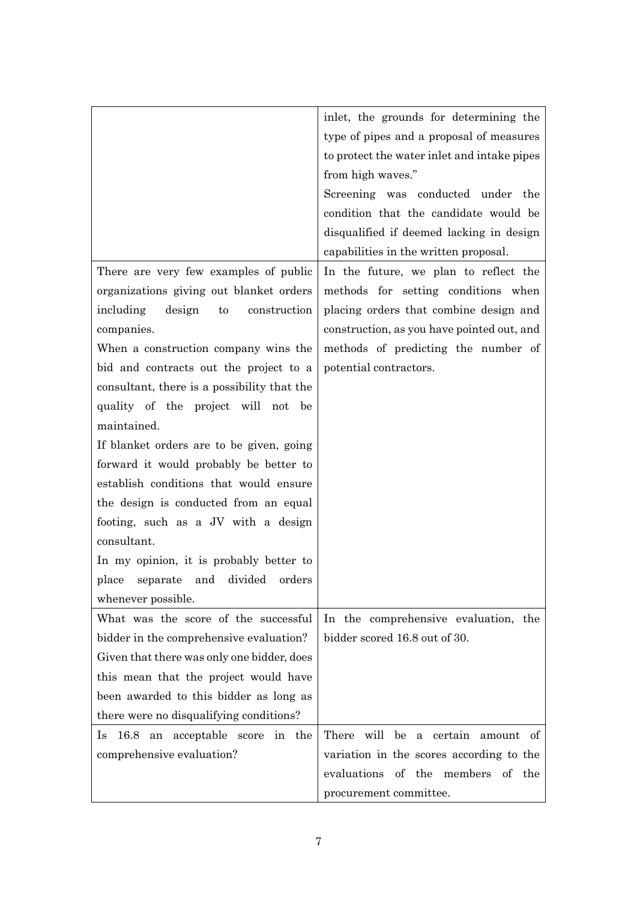|                                             | inlet, the grounds for determining the      |
|---------------------------------------------|---------------------------------------------|
|                                             | type of pipes and a proposal of measures    |
|                                             | to protect the water inlet and intake pipes |
|                                             | from high waves."                           |
|                                             | Screening was conducted under the           |
|                                             | condition that the candidate would be       |
|                                             | disqualified if deemed lacking in design    |
|                                             | capabilities in the written proposal.       |
| There are very few examples of public       | In the future, we plan to reflect the       |
| organizations giving out blanket orders     | methods for setting conditions when         |
| including<br>design<br>to<br>construction   | placing orders that combine design and      |
| companies.                                  | construction, as you have pointed out, and  |
| When a construction company wins the        | methods of predicting the number of         |
| bid and contracts out the project to a      | potential contractors.                      |
| consultant, there is a possibility that the |                                             |
| quality of the project will not be          |                                             |
| maintained.                                 |                                             |
| If blanket orders are to be given, going    |                                             |
| forward it would probably be better to      |                                             |
| establish conditions that would ensure      |                                             |
| the design is conducted from an equal       |                                             |
| footing, such as a JV with a design         |                                             |
| consultant.                                 |                                             |
| In my opinion, it is probably better to     |                                             |
| divided<br>place<br>separate and<br>orders  |                                             |
| whenever possible.                          |                                             |
| What was the score of the successful        | In the comprehensive evaluation, the        |
| bidder in the comprehensive evaluation?     | bidder scored 16.8 out of 30.               |
| Given that there was only one bidder, does  |                                             |
| this mean that the project would have       |                                             |
| been awarded to this bidder as long as      |                                             |
| there were no disqualifying conditions?     |                                             |
| 16.8 an acceptable score in the<br>$\ln$    | There will be a certain amount of           |
| comprehensive evaluation?                   | variation in the scores according to the    |
|                                             | evaluations of the members of the           |
|                                             | procurement committee.                      |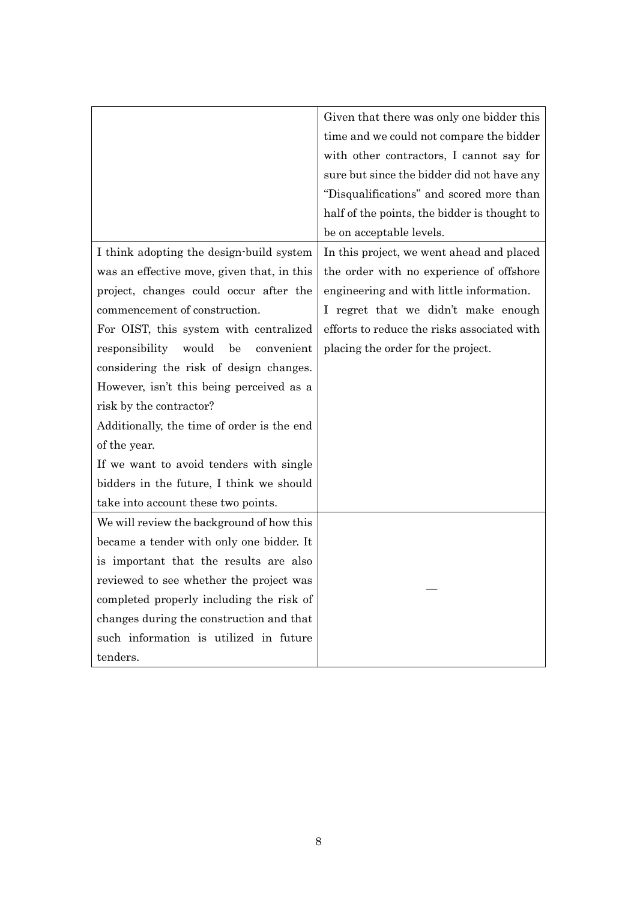|                                             | Given that there was only one bidder this    |
|---------------------------------------------|----------------------------------------------|
|                                             | time and we could not compare the bidder     |
|                                             | with other contractors, I cannot say for     |
|                                             | sure but since the bidder did not have any   |
|                                             | "Disqualifications" and scored more than     |
|                                             | half of the points, the bidder is thought to |
|                                             | be on acceptable levels.                     |
| I think adopting the design-build system    | In this project, we went ahead and placed    |
| was an effective move, given that, in this  | the order with no experience of offshore     |
| project, changes could occur after the      | engineering and with little information.     |
| commencement of construction.               | I regret that we didn't make enough          |
| For OIST, this system with centralized      | efforts to reduce the risks associated with  |
| would<br>be<br>responsibility<br>convenient | placing the order for the project.           |
| considering the risk of design changes.     |                                              |
| However, isn't this being perceived as a    |                                              |
| risk by the contractor?                     |                                              |
| Additionally, the time of order is the end  |                                              |
| of the year.                                |                                              |
| If we want to avoid tenders with single     |                                              |
| bidders in the future, I think we should    |                                              |
| take into account these two points.         |                                              |
| We will review the background of how this   |                                              |
| became a tender with only one bidder. It    |                                              |
| is important that the results are also      |                                              |
| reviewed to see whether the project was     |                                              |
| completed properly including the risk of    |                                              |
| changes during the construction and that    |                                              |
| such information is utilized in future      |                                              |
| tenders.                                    |                                              |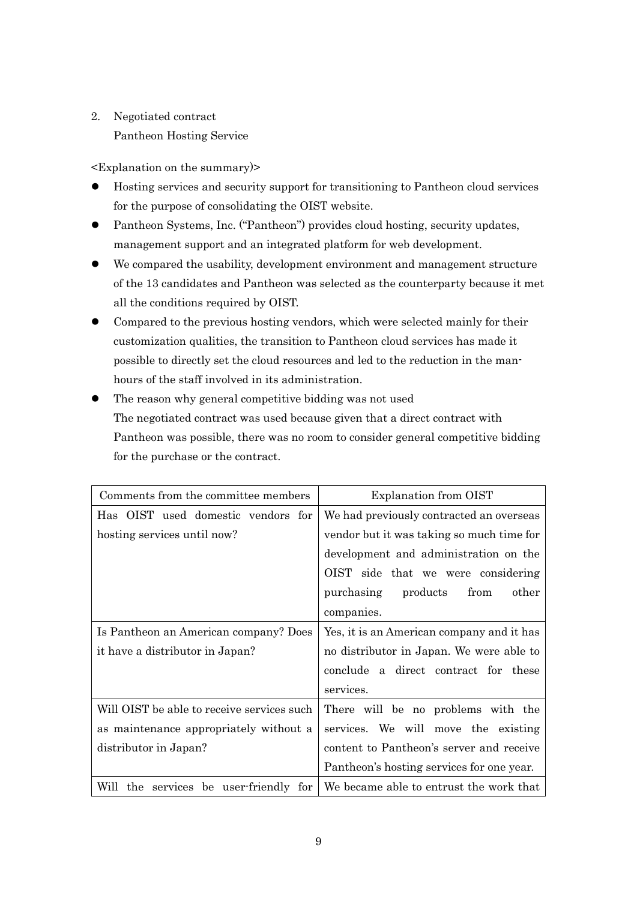2. Negotiated contract Pantheon Hosting Service

- ⚫ Hosting services and security support for transitioning to Pantheon cloud services for the purpose of consolidating the OIST website.
- Pantheon Systems, Inc. ("Pantheon") provides cloud hosting, security updates, management support and an integrated platform for web development.
- ⚫ We compared the usability, development environment and management structure of the 13 candidates and Pantheon was selected as the counterparty because it met all the conditions required by OIST.
- ⚫ Compared to the previous hosting vendors, which were selected mainly for their customization qualities, the transition to Pantheon cloud services has made it possible to directly set the cloud resources and led to the reduction in the manhours of the staff involved in its administration.
- ⚫ The reason why general competitive bidding was not used The negotiated contract was used because given that a direct contract with Pantheon was possible, there was no room to consider general competitive bidding for the purchase or the contract.

| Comments from the committee members        | Explanation from OIST                                                          |
|--------------------------------------------|--------------------------------------------------------------------------------|
| Has OIST used domestic vendors for         | We had previously contracted an overseas                                       |
| hosting services until now?                | vendor but it was taking so much time for                                      |
|                                            | development and administration on the                                          |
|                                            | OIST side that we were considering                                             |
|                                            | purchasing products<br>from<br>other                                           |
|                                            | companies.                                                                     |
| Is Pantheon an American company? Does      | Yes, it is an American company and it has                                      |
| it have a distributor in Japan?            | no distributor in Japan. We were able to                                       |
|                                            | conclude a direct contract for these                                           |
|                                            | services.                                                                      |
| Will OIST be able to receive services such | There will be no problems with the                                             |
| as maintenance appropriately without a     | services. We will move the existing                                            |
| distributor in Japan?                      | content to Pantheon's server and receive                                       |
|                                            | Pantheon's hosting services for one year.                                      |
|                                            | Will the services be user-friendly for We became able to entrust the work that |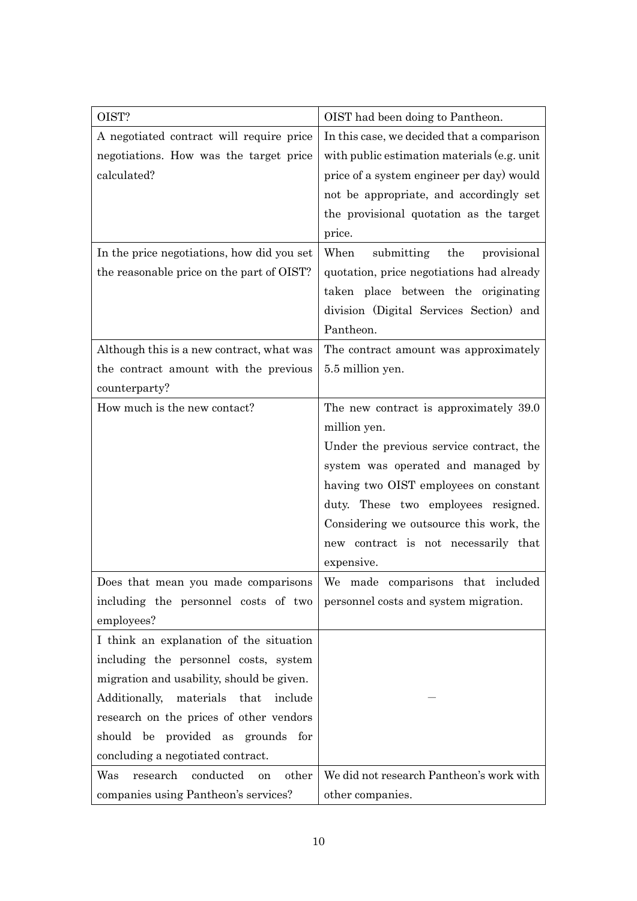| OIST?                                       | OIST had been doing to Pantheon.            |
|---------------------------------------------|---------------------------------------------|
| A negotiated contract will require price    | In this case, we decided that a comparison  |
| negotiations. How was the target price      | with public estimation materials (e.g. unit |
| calculated?                                 | price of a system engineer per day) would   |
|                                             | not be appropriate, and accordingly set     |
|                                             | the provisional quotation as the target     |
|                                             | price.                                      |
| In the price negotiations, how did you set  | submitting<br>When<br>the<br>provisional    |
| the reasonable price on the part of OIST?   | quotation, price negotiations had already   |
|                                             | taken place between the originating         |
|                                             | division (Digital Services Section) and     |
|                                             | Pantheon.                                   |
| Although this is a new contract, what was   | The contract amount was approximately       |
| the contract amount with the previous       | 5.5 million yen.                            |
| counterparty?                               |                                             |
| How much is the new contact?                | The new contract is approximately 39.0      |
|                                             | million yen.                                |
|                                             | Under the previous service contract, the    |
|                                             | system was operated and managed by          |
|                                             | having two OIST employees on constant       |
|                                             | duty. These two employees resigned.         |
|                                             | Considering we outsource this work, the     |
|                                             | new contract is not necessarily that        |
|                                             | expensive.                                  |
| Does that mean you made comparisons         | We made comparisons that included           |
| including the personnel costs of two        | personnel costs and system migration.       |
| employees?                                  |                                             |
| I think an explanation of the situation     |                                             |
| including the personnel costs, system       |                                             |
| migration and usability, should be given.   |                                             |
| materials that include<br>Additionally,     |                                             |
| research on the prices of other vendors     |                                             |
| should be provided as grounds for           |                                             |
| concluding a negotiated contract.           |                                             |
| research<br>conducted<br>Was<br>other<br>on | We did not research Pantheon's work with    |
| companies using Pantheon's services?        | other companies.                            |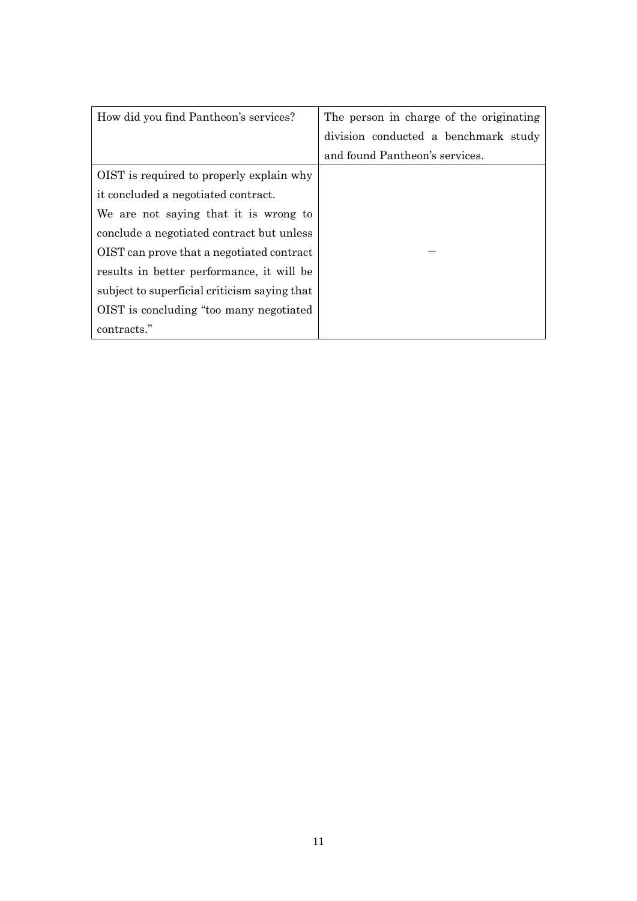| How did you find Pantheon's services?        | The person in charge of the originating |
|----------------------------------------------|-----------------------------------------|
|                                              | division conducted a benchmark study    |
|                                              | and found Pantheon's services.          |
| OIST is required to properly explain why     |                                         |
| it concluded a negotiated contract.          |                                         |
| We are not saying that it is wrong to        |                                         |
| conclude a negotiated contract but unless    |                                         |
| OIST can prove that a negotiated contract    |                                         |
| results in better performance, it will be    |                                         |
| subject to superficial criticism saying that |                                         |
| OIST is concluding "too many negotiated"     |                                         |
| contracts."                                  |                                         |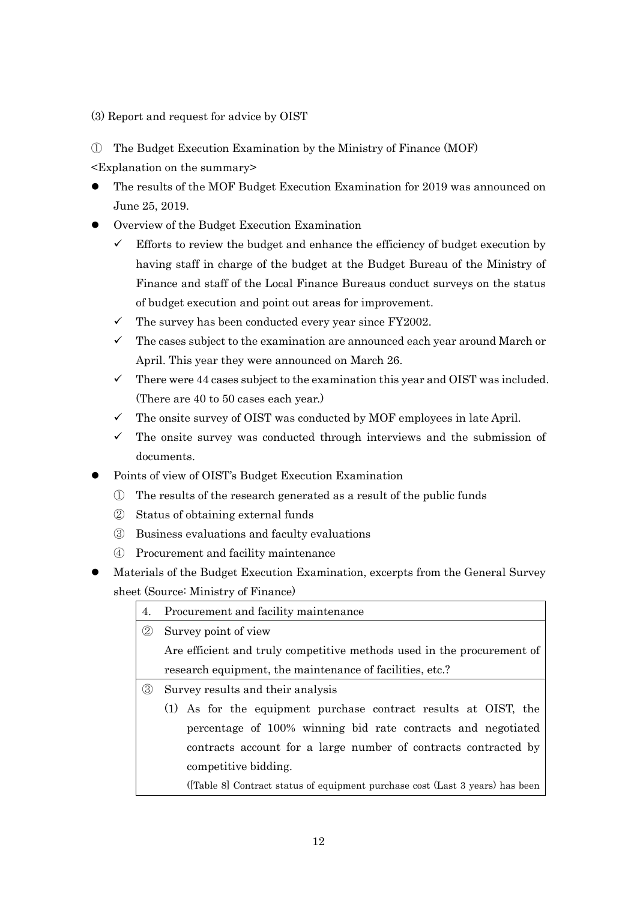(3) Report and request for advice by OIST

① The Budget Execution Examination by the Ministry of Finance (MOF)

- ⚫ The results of the MOF Budget Execution Examination for 2019 was announced on June 25, 2019.
- ⚫ Overview of the Budget Execution Examination
	- $\checkmark$  Efforts to review the budget and enhance the efficiency of budget execution by having staff in charge of the budget at the Budget Bureau of the Ministry of Finance and staff of the Local Finance Bureaus conduct surveys on the status of budget execution and point out areas for improvement.
	- $\checkmark$  The survey has been conducted every year since FY2002.
	- $\checkmark$  The cases subject to the examination are announced each year around March or April. This year they were announced on March 26.
	- $\checkmark$  There were 44 cases subject to the examination this year and OIST was included. (There are 40 to 50 cases each year.)
	- $\checkmark$  The onsite survey of OIST was conducted by MOF employees in late April.
	- $\checkmark$  The onsite survey was conducted through interviews and the submission of documents.
- ⚫ Points of view of OIST's Budget Execution Examination
	- ① The results of the research generated as a result of the public funds
	- ② Status of obtaining external funds
	- ③ Business evaluations and faculty evaluations
	- ④ Procurement and facility maintenance
- ⚫ Materials of the Budget Execution Examination, excerpts from the General Survey sheet (Source: Ministry of Finance)

| 4.            | Procurement and facility maintenance                                         |  |
|---------------|------------------------------------------------------------------------------|--|
| $\circled{2}$ | Survey point of view                                                         |  |
|               | Are efficient and truly competitive methods used in the procurement of       |  |
|               | research equipment, the maintenance of facilities, etc.?                     |  |
| $\circledS$   | Survey results and their analysis                                            |  |
|               | (1) As for the equipment purchase contract results at OIST, the              |  |
|               | percentage of 100% winning bid rate contracts and negotiated                 |  |
|               | contracts account for a large number of contracts contracted by              |  |
|               | competitive bidding.                                                         |  |
|               | (Table 8) Contract status of equipment purchase cost (Last 3 years) has been |  |
|               |                                                                              |  |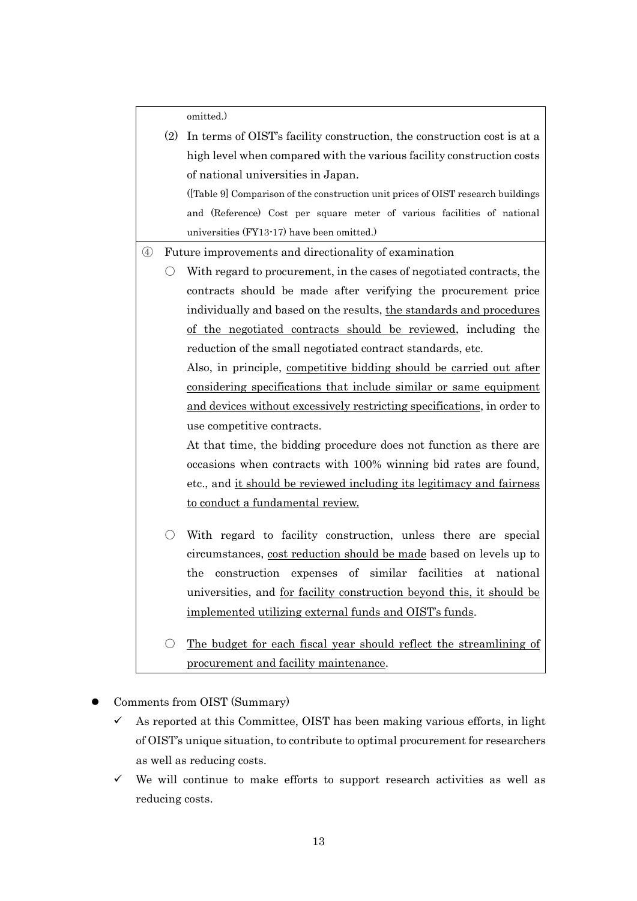omitted.)

|               | (2) | In terms of OIST's facility construction, the construction cost is at a         |
|---------------|-----|---------------------------------------------------------------------------------|
|               |     | high level when compared with the various facility construction costs           |
|               |     | of national universities in Japan.                                              |
|               |     | (Table 9) Comparison of the construction unit prices of OIST research buildings |
|               |     | and (Reference) Cost per square meter of various facilities of national         |
|               |     | universities (FY13-17) have been omitted.)                                      |
| $\circledast$ |     | Future improvements and directionality of examination                           |
|               |     | With regard to procurement, in the cases of negotiated contracts, the           |
|               |     | contracts should be made after verifying the procurement price                  |
|               |     | individually and based on the results, the standards and procedures             |
|               |     | of the negotiated contracts should be reviewed, including the                   |
|               |     | reduction of the small negotiated contract standards, etc.                      |
|               |     | Also, in principle, competitive bidding should be carried out after             |
|               |     | <u>considering specifications that include similar or same equipment</u>        |
|               |     | and devices without excessively restricting specifications, in order to         |
|               |     | use competitive contracts.                                                      |
|               |     | At that time, the bidding procedure does not function as there are              |
|               |     | occasions when contracts with 100% winning bid rates are found,                 |
|               |     | etc., and it should be reviewed including its legitimacy and fairness           |
|               |     | to conduct a fundamental review.                                                |
|               |     |                                                                                 |
|               | ( ) | With regard to facility construction, unless there are special                  |
|               |     | circumstances, cost reduction should be made based on levels up to              |
|               |     | of similar facilities<br>the<br>construction expenses<br>national<br>at         |
|               |     | universities, and <u>for facility construction beyond this, it should be</u>    |
|               |     | <u>implemented utilizing external funds and OIST's funds</u> .                  |
|               |     | The budget for each fiscal year should reflect the streamlining of              |

- ⚫ Comments from OIST (Summary)
	- $\checkmark$  As reported at this Committee, OIST has been making various efforts, in light of OIST's unique situation, to contribute to optimal procurement for researchers as well as reducing costs.

procurement and facility maintenance.

 $\checkmark$  We will continue to make efforts to support research activities as well as reducing costs.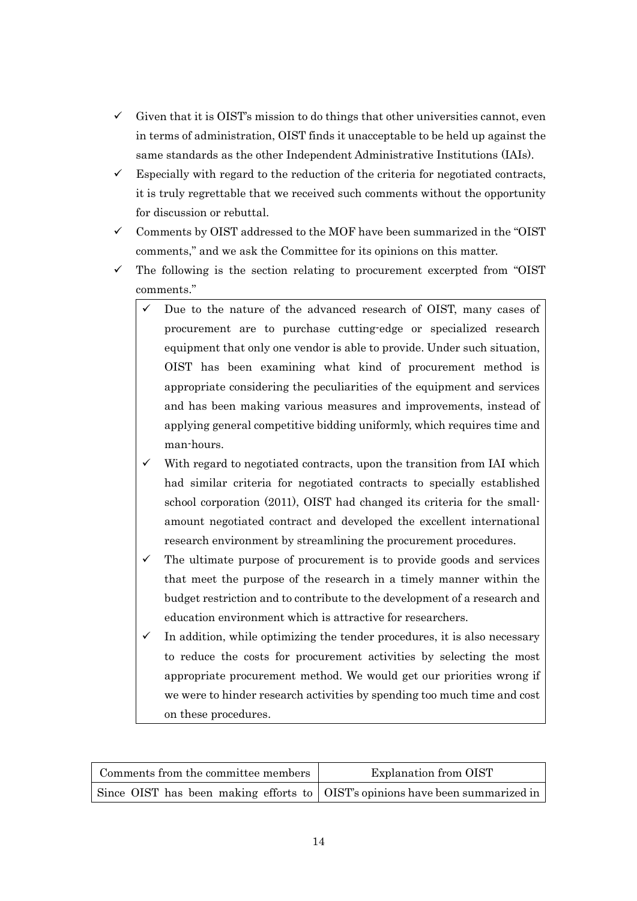- $\checkmark$  Given that it is OIST's mission to do things that other universities cannot, even in terms of administration, OIST finds it unacceptable to be held up against the same standards as the other Independent Administrative Institutions (IAIs).
- $\checkmark$  Especially with regard to the reduction of the criteria for negotiated contracts, it is truly regrettable that we received such comments without the opportunity for discussion or rebuttal.
- Comments by OIST addressed to the MOF have been summarized in the "OIST comments," and we ask the Committee for its opinions on this matter.
- $\checkmark$  The following is the section relating to procurement excerpted from "OIST" comments."
	- Due to the nature of the advanced research of OIST, many cases of procurement are to purchase cutting-edge or specialized research equipment that only one vendor is able to provide. Under such situation, OIST has been examining what kind of procurement method is appropriate considering the peculiarities of the equipment and services and has been making various measures and improvements, instead of applying general competitive bidding uniformly, which requires time and man-hours.
	- With regard to negotiated contracts, upon the transition from IAI which had similar criteria for negotiated contracts to specially established school corporation (2011), OIST had changed its criteria for the smallamount negotiated contract and developed the excellent international research environment by streamlining the procurement procedures.
	- $\checkmark$  The ultimate purpose of procurement is to provide goods and services that meet the purpose of the research in a timely manner within the budget restriction and to contribute to the development of a research and education environment which is attractive for researchers.
	- In addition, while optimizing the tender procedures, it is also necessary to reduce the costs for procurement activities by selecting the most appropriate procurement method. We would get our priorities wrong if we were to hinder research activities by spending too much time and cost on these procedures.

| Comments from the committee members                                             | Explanation from OIST |
|---------------------------------------------------------------------------------|-----------------------|
| Since OIST has been making efforts to   OIST's opinions have been summarized in |                       |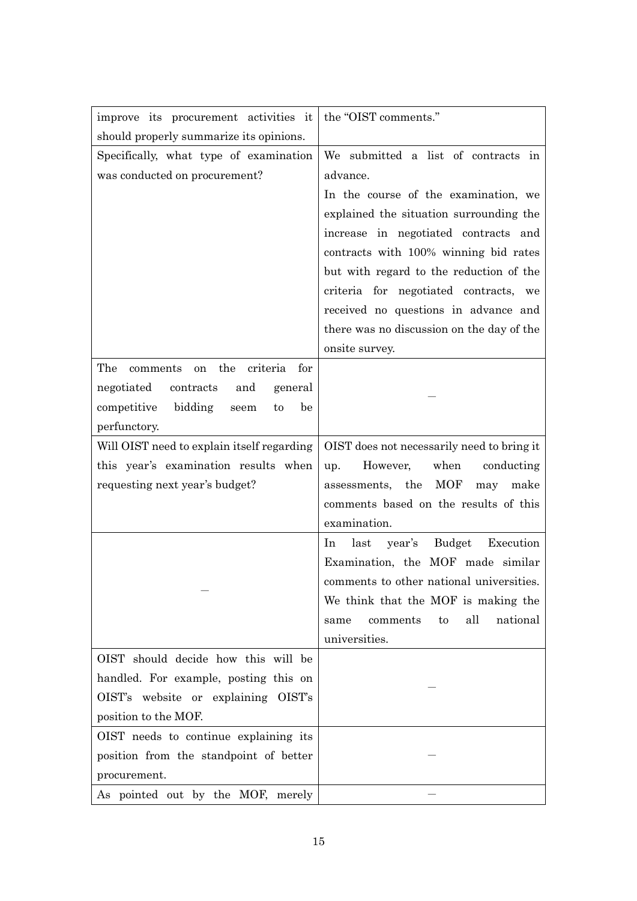| improve its procurement activities it           | the "OIST comments."                       |
|-------------------------------------------------|--------------------------------------------|
| should properly summarize its opinions.         |                                            |
| Specifically, what type of examination          | We submitted a list of contracts in        |
| was conducted on procurement?                   | advance.                                   |
|                                                 | In the course of the examination, we       |
|                                                 | explained the situation surrounding the    |
|                                                 | increase in negotiated contracts and       |
|                                                 | contracts with 100% winning bid rates      |
|                                                 | but with regard to the reduction of the    |
|                                                 | criteria for negotiated contracts, we      |
|                                                 | received no questions in advance and       |
|                                                 | there was no discussion on the day of the  |
|                                                 | onsite survey.                             |
| the<br>The<br>criteria<br>for<br>comments<br>on |                                            |
| negotiated<br>contracts<br>and<br>general       |                                            |
| competitive<br>bidding<br>be<br>seem<br>to      |                                            |
| perfunctory.                                    |                                            |
| Will OIST need to explain itself regarding      | OIST does not necessarily need to bring it |
| this year's examination results when            | However,<br>when<br>conducting<br>up.      |
| requesting next year's budget?                  | assessments, the<br>MOF<br>make<br>may     |
|                                                 | comments based on the results of this      |
|                                                 | examination.                               |
|                                                 | Budget Execution<br>last<br>year's<br>In   |
|                                                 | Examination, the MOF made similar          |
|                                                 | comments to other national universities.   |
|                                                 | We think that the MOF is making the        |
|                                                 | all<br>national<br>comments<br>to<br>same  |
|                                                 | universities.                              |
| OIST should decide how this will be             |                                            |
| handled. For example, posting this on           |                                            |
| OIST's website or explaining OIST's             |                                            |
| position to the MOF.                            |                                            |
| OIST needs to continue explaining its           |                                            |
| position from the standpoint of better          |                                            |
| procurement.                                    |                                            |
| As pointed out by the MOF, merely               |                                            |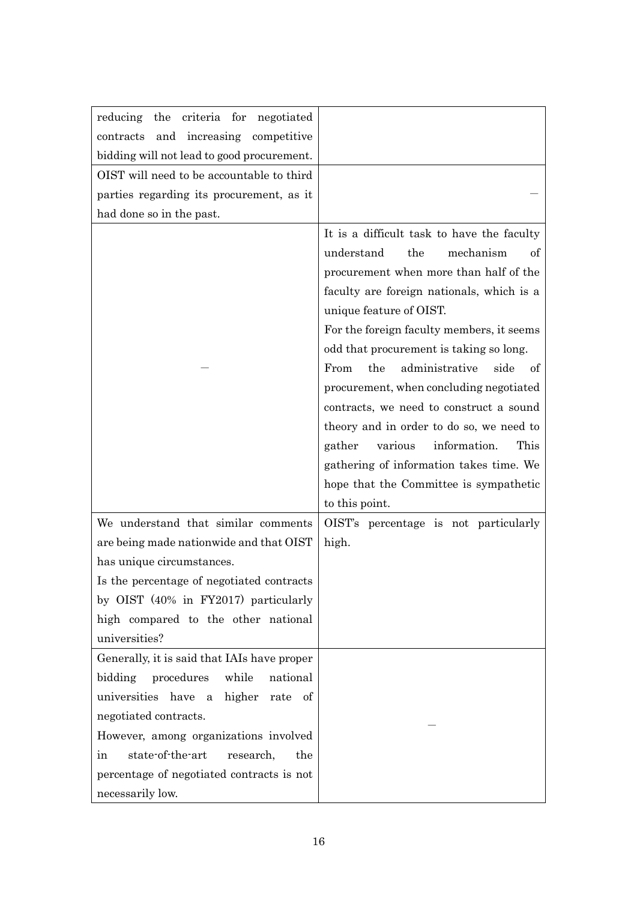| reducing the criteria for negotiated        |                                                                                                                                                                                                                                                                                                                                                                                                                                                                                                                                                                                                                                   |
|---------------------------------------------|-----------------------------------------------------------------------------------------------------------------------------------------------------------------------------------------------------------------------------------------------------------------------------------------------------------------------------------------------------------------------------------------------------------------------------------------------------------------------------------------------------------------------------------------------------------------------------------------------------------------------------------|
| and increasing competitive<br>contracts     |                                                                                                                                                                                                                                                                                                                                                                                                                                                                                                                                                                                                                                   |
| bidding will not lead to good procurement.  |                                                                                                                                                                                                                                                                                                                                                                                                                                                                                                                                                                                                                                   |
| OIST will need to be accountable to third   |                                                                                                                                                                                                                                                                                                                                                                                                                                                                                                                                                                                                                                   |
| parties regarding its procurement, as it    |                                                                                                                                                                                                                                                                                                                                                                                                                                                                                                                                                                                                                                   |
| had done so in the past.                    |                                                                                                                                                                                                                                                                                                                                                                                                                                                                                                                                                                                                                                   |
|                                             | It is a difficult task to have the faculty<br>understand<br>the<br>mechanism<br>of<br>procurement when more than half of the<br>faculty are foreign nationals, which is a<br>unique feature of OIST.<br>For the foreign faculty members, it seems<br>odd that procurement is taking so long.<br>the<br>administrative<br>From<br>side<br>of<br>procurement, when concluding negotiated<br>contracts, we need to construct a sound<br>theory and in order to do so, we need to<br>information.<br>This<br>gather<br>various<br>gathering of information takes time. We<br>hope that the Committee is sympathetic<br>to this point. |
| We understand that similar comments         | OIST's percentage is not particularly                                                                                                                                                                                                                                                                                                                                                                                                                                                                                                                                                                                             |
| are being made nationwide and that OIST     | high.                                                                                                                                                                                                                                                                                                                                                                                                                                                                                                                                                                                                                             |
| has unique circumstances.                   |                                                                                                                                                                                                                                                                                                                                                                                                                                                                                                                                                                                                                                   |
| Is the percentage of negotiated contracts   |                                                                                                                                                                                                                                                                                                                                                                                                                                                                                                                                                                                                                                   |
| by OIST (40% in FY2017) particularly        |                                                                                                                                                                                                                                                                                                                                                                                                                                                                                                                                                                                                                                   |
| high compared to the other national         |                                                                                                                                                                                                                                                                                                                                                                                                                                                                                                                                                                                                                                   |
| universities?                               |                                                                                                                                                                                                                                                                                                                                                                                                                                                                                                                                                                                                                                   |
| Generally, it is said that IAIs have proper |                                                                                                                                                                                                                                                                                                                                                                                                                                                                                                                                                                                                                                   |
| bidding<br>procedures<br>while<br>national  |                                                                                                                                                                                                                                                                                                                                                                                                                                                                                                                                                                                                                                   |
| universities have a higher rate<br>of       |                                                                                                                                                                                                                                                                                                                                                                                                                                                                                                                                                                                                                                   |
| negotiated contracts.                       |                                                                                                                                                                                                                                                                                                                                                                                                                                                                                                                                                                                                                                   |
| However, among organizations involved       |                                                                                                                                                                                                                                                                                                                                                                                                                                                                                                                                                                                                                                   |
| state-of-the-art<br>research,<br>the<br>in  |                                                                                                                                                                                                                                                                                                                                                                                                                                                                                                                                                                                                                                   |
| percentage of negotiated contracts is not   |                                                                                                                                                                                                                                                                                                                                                                                                                                                                                                                                                                                                                                   |
| necessarily low.                            |                                                                                                                                                                                                                                                                                                                                                                                                                                                                                                                                                                                                                                   |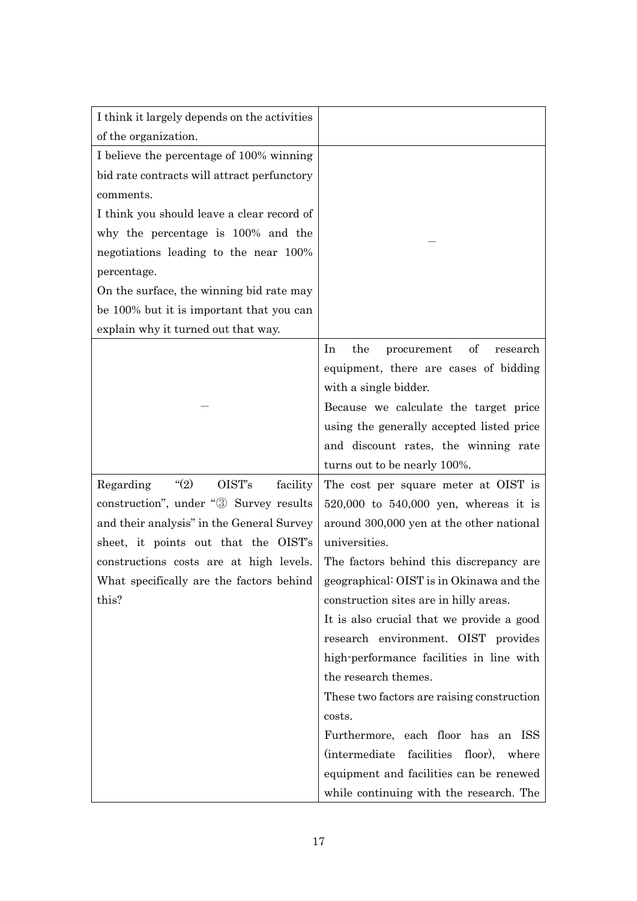| I think it largely depends on the activities |                                            |
|----------------------------------------------|--------------------------------------------|
| of the organization.                         |                                            |
| I believe the percentage of 100% winning     |                                            |
| bid rate contracts will attract perfunctory  |                                            |
| comments.                                    |                                            |
| I think you should leave a clear record of   |                                            |
| why the percentage is 100% and the           |                                            |
| negotiations leading to the near 100%        |                                            |
| percentage.                                  |                                            |
| On the surface, the winning bid rate may     |                                            |
| be 100% but it is important that you can     |                                            |
| explain why it turned out that way.          |                                            |
|                                              | the<br>of<br>In<br>procurement<br>research |
|                                              | equipment, there are cases of bidding      |
|                                              | with a single bidder.                      |
|                                              | Because we calculate the target price      |
|                                              | using the generally accepted listed price  |
|                                              | and discount rates, the winning rate       |
|                                              | turns out to be nearly 100%.               |
| (2)<br>OIST's<br>Regarding<br>facility       | The cost per square meter at OIST is       |
| construction", under "3 Survey results       | 520,000 to 540,000 yen, whereas it is      |
| and their analysis" in the General Survey    | around 300,000 yen at the other national   |
| sheet, it points out that the OIST's         | universities.                              |
| constructions costs are at high levels.      | The factors behind this discrepancy are.   |
| What specifically are the factors behind     | geographical: OIST is in Okinawa and the   |
| this?                                        | construction sites are in hilly areas.     |
|                                              | It is also crucial that we provide a good  |
|                                              | research environment. OIST provides        |
|                                              | high-performance facilities in line with   |
|                                              | the research themes.                       |
|                                              | These two factors are raising construction |
|                                              | costs.                                     |
|                                              | Furthermore, each floor has an ISS         |
|                                              | (intermediate facilities floor), where     |
|                                              | equipment and facilities can be renewed    |
|                                              | while continuing with the research. The    |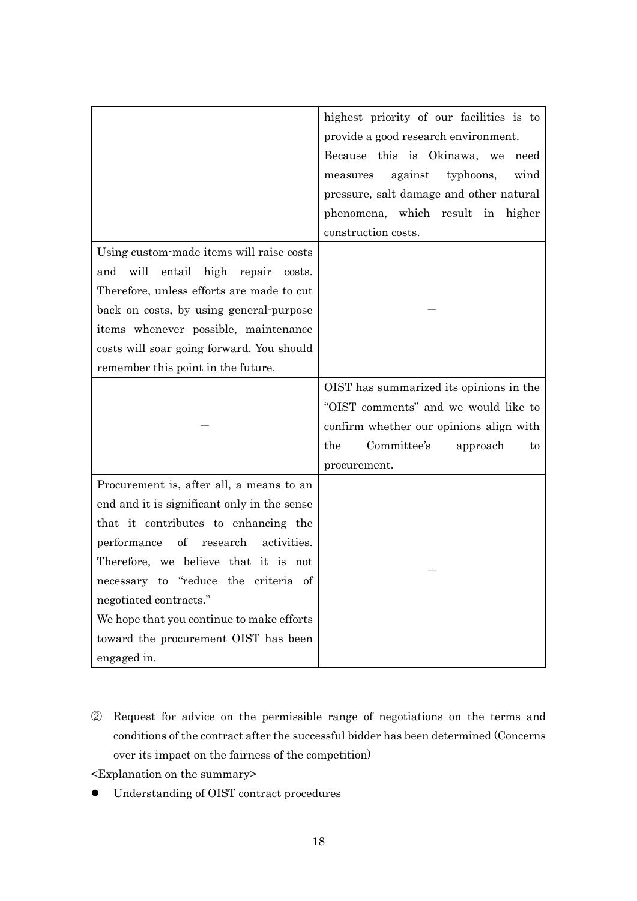|                                              | highest priority of our facilities is to |
|----------------------------------------------|------------------------------------------|
|                                              | provide a good research environment.     |
|                                              |                                          |
|                                              | Because this is Okinawa, we<br>need      |
|                                              | against<br>typhoons,<br>wind<br>measures |
|                                              | pressure, salt damage and other natural  |
|                                              | phenomena, which result in higher        |
|                                              | construction costs.                      |
| Using custom-made items will raise costs     |                                          |
| entail high repair<br>will<br>and<br>costs.  |                                          |
| Therefore, unless efforts are made to cut    |                                          |
| back on costs, by using general-purpose      |                                          |
| items whenever possible, maintenance         |                                          |
| costs will soar going forward. You should    |                                          |
| remember this point in the future.           |                                          |
|                                              | OIST has summarized its opinions in the  |
|                                              | "OIST comments" and we would like to     |
|                                              | confirm whether our opinions align with  |
|                                              | Committee's<br>the<br>approach<br>to     |
|                                              | procurement.                             |
| Procurement is, after all, a means to an     |                                          |
| end and it is significant only in the sense  |                                          |
| that it contributes to enhancing the         |                                          |
| performance<br>of<br>research<br>activities. |                                          |
| Therefore, we believe that it is not         |                                          |
| necessary to "reduce the criteria of         |                                          |
| negotiated contracts."                       |                                          |
| We hope that you continue to make efforts    |                                          |
| toward the procurement OIST has been         |                                          |
| engaged in.                                  |                                          |

② Request for advice on the permissible range of negotiations on the terms and conditions of the contract after the successful bidder has been determined (Concerns over its impact on the fairness of the competition)

<Explanation on the summary>

⚫ Understanding of OIST contract procedures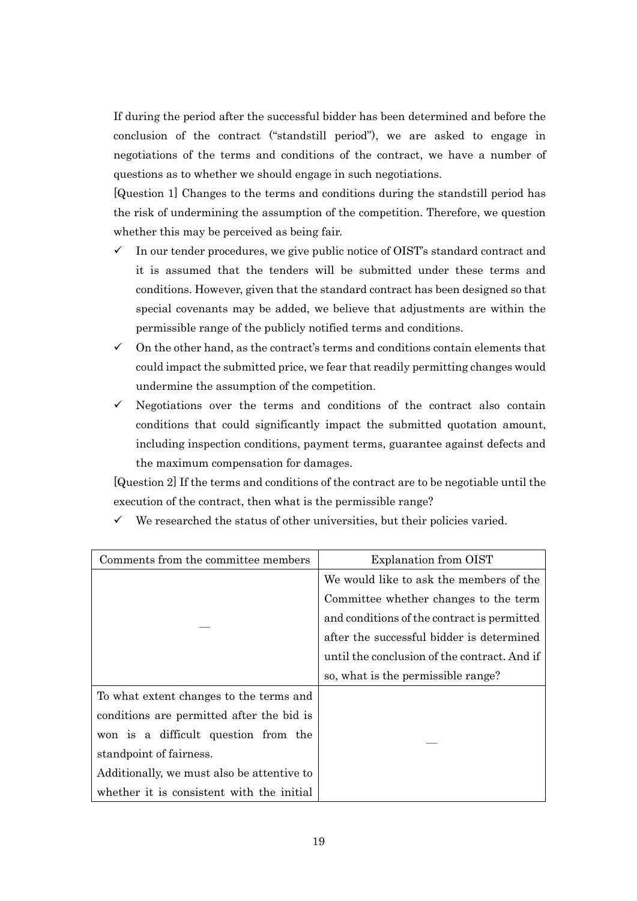If during the period after the successful bidder has been determined and before the conclusion of the contract ("standstill period"), we are asked to engage in negotiations of the terms and conditions of the contract, we have a number of questions as to whether we should engage in such negotiations.

[Question 1] Changes to the terms and conditions during the standstill period has the risk of undermining the assumption of the competition. Therefore, we question whether this may be perceived as being fair.

- $\checkmark$  In our tender procedures, we give public notice of OIST's standard contract and it is assumed that the tenders will be submitted under these terms and conditions. However, given that the standard contract has been designed so that special covenants may be added, we believe that adjustments are within the permissible range of the publicly notified terms and conditions.
- $\checkmark$  On the other hand, as the contract's terms and conditions contain elements that could impact the submitted price, we fear that readily permitting changes would undermine the assumption of the competition.
- $\checkmark$  Negotiations over the terms and conditions of the contract also contain conditions that could significantly impact the submitted quotation amount, including inspection conditions, payment terms, guarantee against defects and the maximum compensation for damages.

[Question 2] If the terms and conditions of the contract are to be negotiable until the execution of the contract, then what is the permissible range?

| Comments from the committee members        | Explanation from OIST                        |
|--------------------------------------------|----------------------------------------------|
|                                            | We would like to ask the members of the      |
|                                            | Committee whether changes to the term        |
|                                            | and conditions of the contract is permitted  |
|                                            | after the successful bidder is determined    |
|                                            | until the conclusion of the contract. And if |
|                                            | so, what is the permissible range?           |
| To what extent changes to the terms and    |                                              |
| conditions are permitted after the bid is  |                                              |
| won is a difficult question from the       |                                              |
| standpoint of fairness.                    |                                              |
| Additionally, we must also be attentive to |                                              |
| whether it is consistent with the initial  |                                              |

 $\checkmark$  We researched the status of other universities, but their policies varied.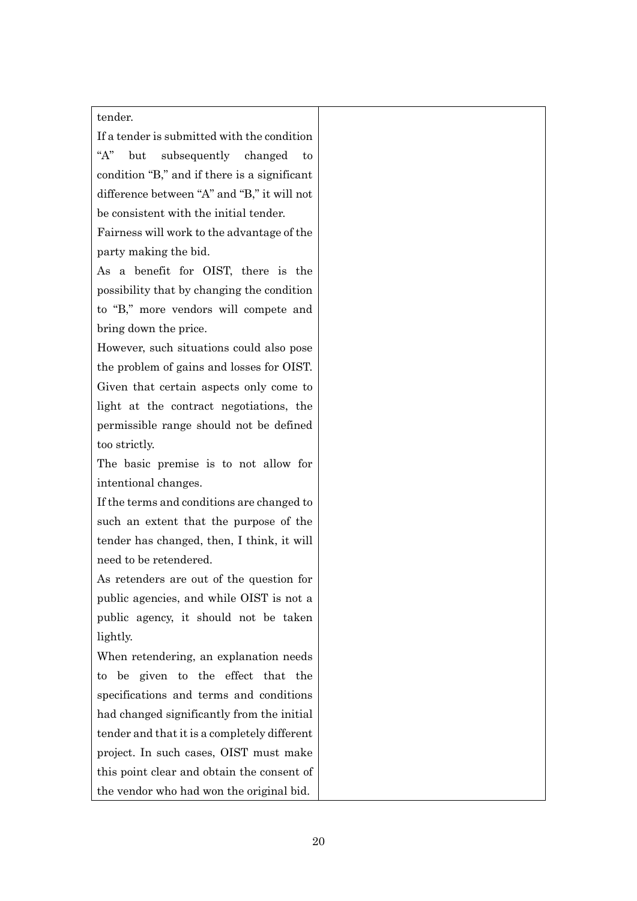#### tender.

If a tender is submitted with the condition

"A" but subsequently changed to condition "B," and if there is a significant difference between "A" and "B," it will not be consistent with the initial tender.

Fairness will work to the advantage of the party making the bid.

As a benefit for OIST, there is the possibility that by changing the condition to "B," more vendors will compete and bring down the price.

However, such situations could also pose the problem of gains and losses for OIST. Given that certain aspects only come to light at the contract negotiations, the permissible range should not be defined too strictly.

The basic premise is to not allow for intentional changes.

If the terms and conditions are changed to such an extent that the purpose of the tender has changed, then, I think, it will need to be retendered.

As retenders are out of the question for public agencies, and while OIST is not a public agency, it should not be taken lightly.

When retendering, an explanation needs to be given to the effect that the specifications and terms and conditions had changed significantly from the initial tender and that it is a completely different project. In such cases, OIST must make this point clear and obtain the consent of the vendor who had won the original bid.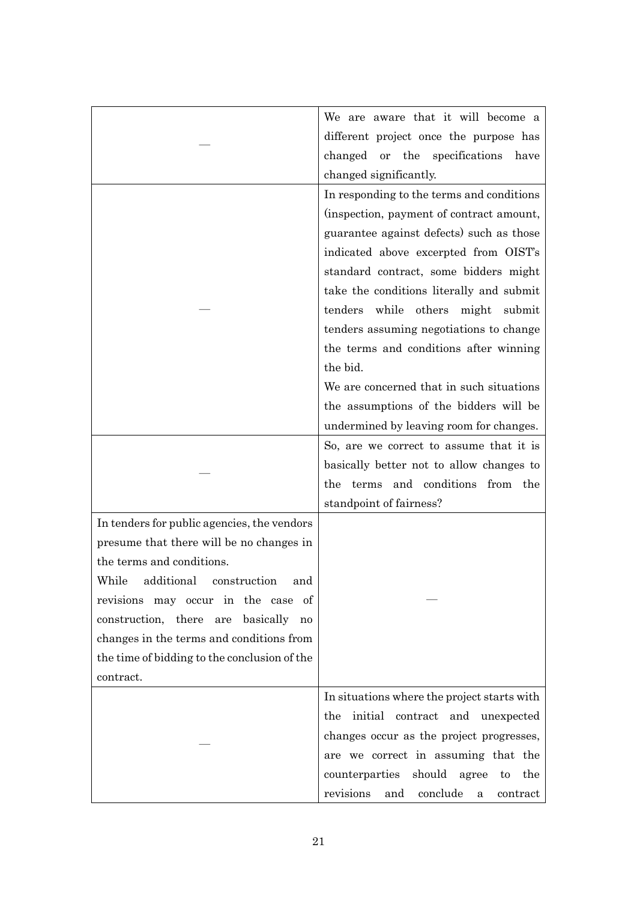|                                              | We are aware that it will become a            |
|----------------------------------------------|-----------------------------------------------|
|                                              | different project once the purpose has        |
|                                              | changed or the specifications<br>have         |
|                                              | changed significantly.                        |
|                                              | In responding to the terms and conditions     |
|                                              | (inspection, payment of contract amount,      |
|                                              | guarantee against defects) such as those      |
|                                              | indicated above excerpted from OIST's         |
|                                              | standard contract, some bidders might         |
|                                              | take the conditions literally and submit      |
|                                              | while others<br>tenders<br>might<br>submit    |
|                                              | tenders assuming negotiations to change       |
|                                              | the terms and conditions after winning        |
|                                              | the bid.                                      |
|                                              | We are concerned that in such situations      |
|                                              | the assumptions of the bidders will be        |
|                                              | undermined by leaving room for changes.       |
|                                              | So, are we correct to assume that it is       |
|                                              | basically better not to allow changes to      |
|                                              | terms and conditions from the<br>the          |
|                                              | standpoint of fairness?                       |
| In tenders for public agencies, the vendors  |                                               |
| presume that there will be no changes in     |                                               |
| the terms and conditions.                    |                                               |
| additional construction<br>While<br>and      |                                               |
| revisions may occur in the case of           |                                               |
| construction, there<br>are basically<br>no   |                                               |
| changes in the terms and conditions from     |                                               |
| the time of bidding to the conclusion of the |                                               |
| contract.                                    |                                               |
|                                              | In situations where the project starts with   |
|                                              | the initial contract and unexpected           |
|                                              | changes occur as the project progresses,      |
|                                              | are we correct in assuming that the           |
|                                              | counterparties should agree<br>the<br>to      |
|                                              | conclude<br>revisions<br>and<br>contract<br>a |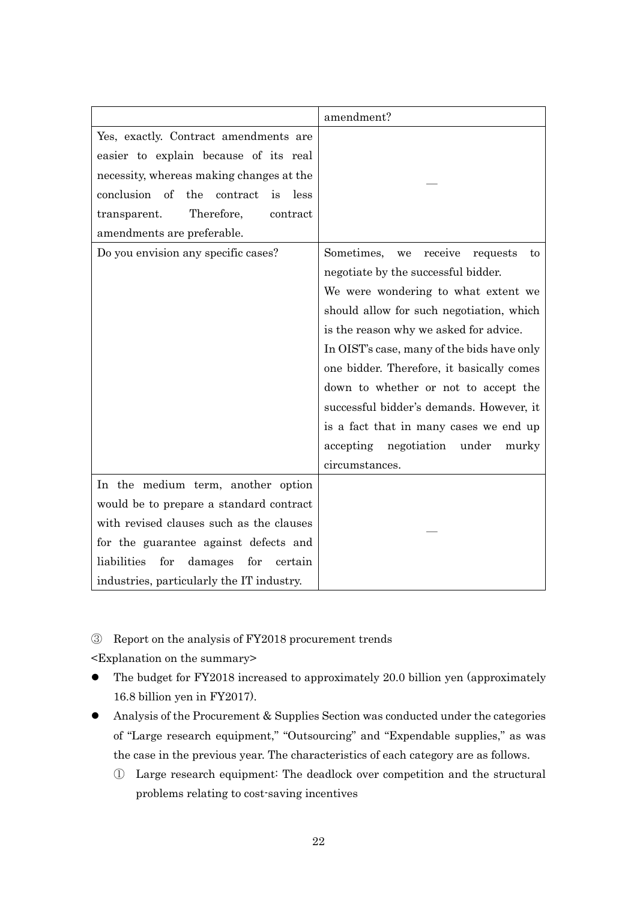|                                                 | amendment?                                    |
|-------------------------------------------------|-----------------------------------------------|
| Yes, exactly. Contract amendments are           |                                               |
| easier to explain because of its real           |                                               |
| necessity, whereas making changes at the        |                                               |
| conclusion of<br>the contract<br>is<br>less     |                                               |
| Therefore,<br>contract<br>transparent.          |                                               |
| amendments are preferable.                      |                                               |
| Do you envision any specific cases?             | Sometimes,<br>receive<br>we<br>requests<br>to |
|                                                 | negotiate by the successful bidder.           |
|                                                 | We were wondering to what extent we           |
|                                                 | should allow for such negotiation, which      |
|                                                 | is the reason why we asked for advice.        |
|                                                 | In OIST's case, many of the bids have only    |
|                                                 | one bidder. Therefore, it basically comes     |
|                                                 | down to whether or not to accept the          |
|                                                 | successful bidder's demands. However, it      |
|                                                 | is a fact that in many cases we end up        |
|                                                 | under<br>accepting<br>negotiation<br>murky    |
|                                                 | circumstances.                                |
| In the medium term, another option              |                                               |
| would be to prepare a standard contract         |                                               |
| with revised clauses such as the clauses        |                                               |
| for the guarantee against defects and           |                                               |
| liabilities<br>for<br>damages<br>for<br>certain |                                               |
| industries, particularly the IT industry.       |                                               |

③ Report on the analysis of FY2018 procurement trends

- ⚫ The budget for FY2018 increased to approximately 20.0 billion yen (approximately 16.8 billion yen in FY2017).
- ⚫ Analysis of the Procurement & Supplies Section was conducted under the categories of "Large research equipment," "Outsourcing" and "Expendable supplies," as was the case in the previous year. The characteristics of each category are as follows.
	- ① Large research equipment: The deadlock over competition and the structural problems relating to cost-saving incentives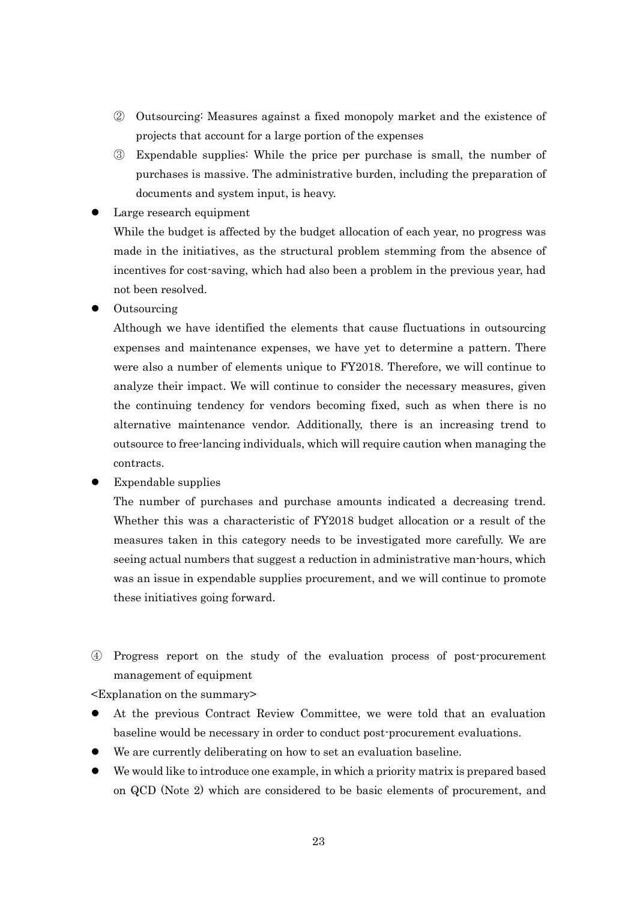- ② Outsourcing: Measures against a fixed monopoly market and the existence of projects that account for a large portion of the expenses
- ③ Expendable supplies: While the price per purchase is small, the number of purchases is massive. The administrative burden, including the preparation of documents and system input, is heavy.
- Large research equipment

While the budget is affected by the budget allocation of each year, no progress was made in the initiatives, as the structural problem stemming from the absence of incentives for cost-saving, which had also been a problem in the previous year, had not been resolved.

⚫ Outsourcing

Although we have identified the elements that cause fluctuations in outsourcing expenses and maintenance expenses, we have yet to determine a pattern. There were also a number of elements unique to FY2018. Therefore, we will continue to analyze their impact. We will continue to consider the necessary measures, given the continuing tendency for vendors becoming fixed, such as when there is no alternative maintenance vendor. Additionally, there is an increasing trend to outsource to free-lancing individuals, which will require caution when managing the contracts.

⚫ Expendable supplies

The number of purchases and purchase amounts indicated a decreasing trend. Whether this was a characteristic of FY2018 budget allocation or a result of the measures taken in this category needs to be investigated more carefully. We are seeing actual numbers that suggest a reduction in administrative man-hours, which was an issue in expendable supplies procurement, and we will continue to promote these initiatives going forward.

④ Progress report on the study of the evaluation process of post-procurement management of equipment

- ⚫ At the previous Contract Review Committee, we were told that an evaluation baseline would be necessary in order to conduct post-procurement evaluations.
- We are currently deliberating on how to set an evaluation baseline.
- ⚫ We would like to introduce one example, in which a priority matrix is prepared based on QCD (Note 2) which are considered to be basic elements of procurement, and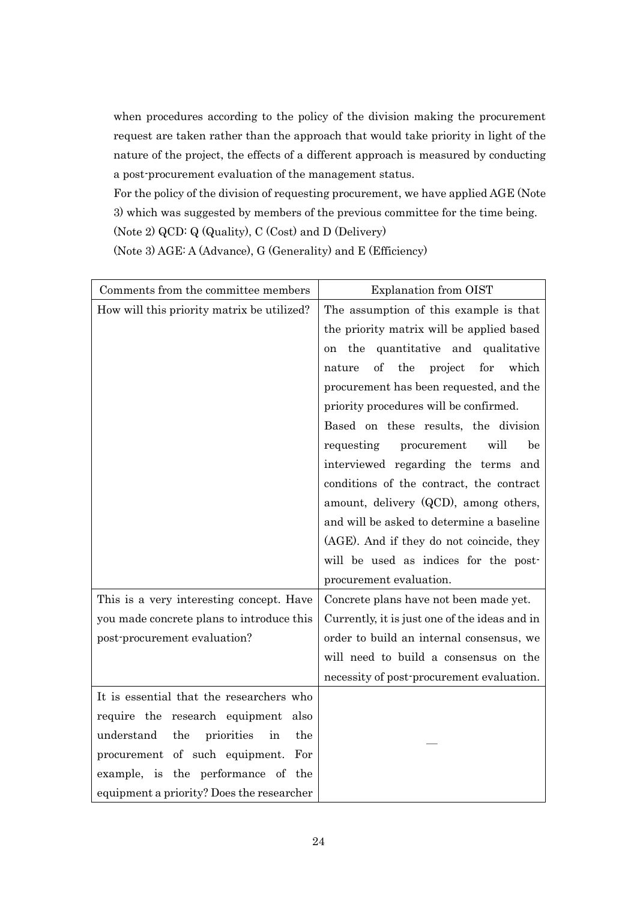when procedures according to the policy of the division making the procurement request are taken rather than the approach that would take priority in light of the nature of the project, the effects of a different approach is measured by conducting a post-procurement evaluation of the management status.

For the policy of the division of requesting procurement, we have applied AGE (Note 3) which was suggested by members of the previous committee for the time being. (Note 2) QCD: Q (Quality), C (Cost) and D (Delivery)

(Note 3) AGE: A (Advance), G (Generality) and E (Efficiency)

| Comments from the committee members          | <b>Explanation from OIST</b>                   |
|----------------------------------------------|------------------------------------------------|
| How will this priority matrix be utilized?   | The assumption of this example is that         |
|                                              | the priority matrix will be applied based      |
|                                              | quantitative and qualitative<br>the<br>on.     |
|                                              | of<br>the<br>project<br>for<br>which<br>nature |
|                                              | procurement has been requested, and the        |
|                                              | priority procedures will be confirmed.         |
|                                              | Based on these results, the division           |
|                                              | will<br>requesting<br>procurement<br>be        |
|                                              | interviewed regarding the terms and            |
|                                              | conditions of the contract, the contract       |
|                                              | amount, delivery (QCD), among others,          |
|                                              | and will be asked to determine a baseline      |
|                                              | (AGE). And if they do not coincide, they       |
|                                              | will be used as indices for the post-          |
|                                              | procurement evaluation.                        |
| This is a very interesting concept. Have     | Concrete plans have not been made yet.         |
| you made concrete plans to introduce this    | Currently, it is just one of the ideas and in  |
| post-procurement evaluation?                 | order to build an internal consensus, we       |
|                                              | will need to build a consensus on the          |
|                                              | necessity of post-procurement evaluation.      |
| It is essential that the researchers who     |                                                |
| require the research equipment<br>also       |                                                |
| understand<br>the<br>the<br>priorities<br>in |                                                |
| procurement of such equipment.<br>For        |                                                |
| example, is the performance of the           |                                                |
| equipment a priority? Does the researcher    |                                                |